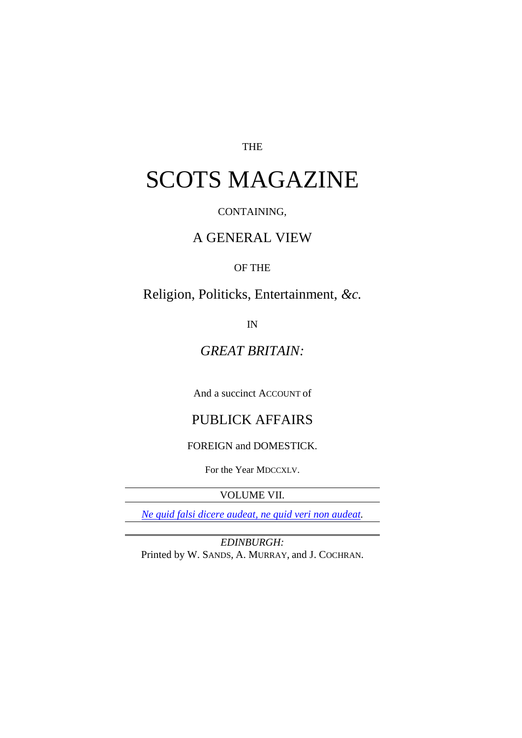#### THE

# SCOTS MAGAZINE

#### CONTAINING,

## A GENERAL VIEW

#### OF THE

Religion, Politicks, Entertainment, *&c.*

IN

## *GREAT BRITAIN:*

And a succinct ACCOUNT of

## PUBLICK AFFAIRS

FOREIGN and DOMESTICK.

For the Year MDCCXLV.

VOLUME VII.

*Ne quid falsi dicere audeat, ne quid veri non audeat.*

*EDINBURGH:* Printed by W. SANDS, A. MURRAY, and J. COCHRAN.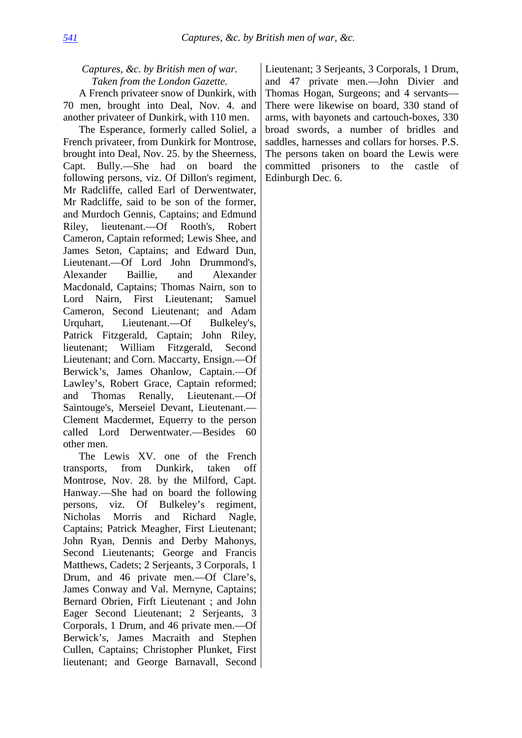### *Captures, &c. by British men of war. Taken from the London Gazette.*

A French privateer snow of Dunkirk, with 70 men, brought into Deal, Nov. 4. and another privateer of Dunkirk, with 110 men.

The Esperance, formerly called Soliel, a French privateer, from Dunkirk for Montrose, brought into Deal, Nov. 25. by the Sheerness, Capt. Bully.—She had on board the following persons, viz. Of Dillon's regiment, Mr Radcliffe, called Earl of Derwentwater, Mr Radcliffe, said to be son of the former, and Murdoch Gennis, Captains; and Edmund Riley, lieutenant.—Of Rooth's, Robert Cameron, Captain reformed; Lewis Shee, and James Seton, Captains; and Edward Dun, Lieutenant.—Of Lord John Drummond's, Alexander Baillie, and Alexander Macdonald, Captains; Thomas Nairn, son to Lord Nairn, First Lieutenant; Samuel Cameron, Second Lieutenant; and Adam Urquhart, Lieutenant.—Of Bulkeley's, Patrick Fitzgerald, Captain; John Riley, lieutenant; William Fitzgerald, Second Lieutenant; and Corn. Maccarty, Ensign.—Of Berwick's, James Ohanlow, Captain.—Of Lawley's, Robert Grace, Captain reformed; and Thomas Renally, Lieutenant.—Of Saintouge's, Merseiel Devant, Lieutenant.— Clement Macdermet, Equerry to the person called Lord Derwentwater.—Besides 60 other men.

The Lewis XV. one of the French transports, from Dunkirk, taken off Montrose, Nov. 28. by the Milford, Capt. Hanway.—She had on board the following persons, viz. Of Bulkeley's regiment, Nicholas Morris and Richard Nagle, Captains; Patrick Meagher, First Lieutenant; John Ryan, Dennis and Derby Mahonys, Second Lieutenants; George and Francis Matthews, Cadets; 2 Serjeants, 3 Corporals, 1 Drum, and 46 private men.—Of Clare's, James Conway and Val. Mernyne, Captains; Bernard Obrien, Firft Lieutenant ; and John Eager Second Lieutenant; 2 Serjeants, 3 Corporals, 1 Drum, and 46 private men.—Of Berwick's, James Macraith and Stephen Cullen, Captains; Christopher Plunket, First lieutenant; and George Barnavall, Second

Lieutenant; 3 Serjeants, 3 Corporals, 1 Drum, and 47 private men.—John Divier and Thomas Hogan, Surgeons; and 4 servants— There were likewise on board, 330 stand of arms, with bayonets and cartouch-boxes, 330 broad swords, a number of bridles and saddles, harnesses and collars for horses. P.S. The persons taken on board the Lewis were committed prisoners to the castle of Edinburgh Dec. 6.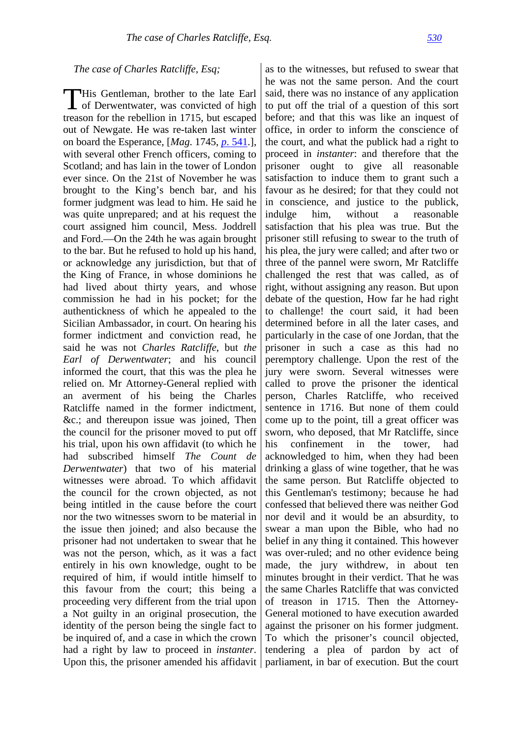#### *The case of Charles Ratcliffe, Esq;*

This Gentleman, brother to the late Earl<br>of Derwentwater, was convicted of high of Derwentwater, was convicted of high treason for the rebellion in 1715, but escaped out of Newgate. He was re-taken last winter on board the Esperance, [*Mag*. 1745, *p*[. 541.](http://books.google.com/books?id=ky8oAAAAYAAJ&dq=1745%20Scots%20Magazine%20volume%207&pg=PA541#v=onepage&q&f=false)], with several other French officers, coming to Scotland; and has lain in the tower of London ever since. On the 21st of November he was brought to the King's bench bar, and his former judgment was lead to him. He said he was quite unprepared; and at his request the court assigned him council, Mess. Joddrell and Ford.—On the 24th he was again brought to the bar. But he refused to hold up his hand, or acknowledge any jurisdiction, but that of the King of France, in whose dominions he had lived about thirty years, and whose commission he had in his pocket; for the authentickness of which he appealed to the Sicilian Ambassador, in court. On hearing his former indictment and conviction read, he said he was not *Charles Ratcliffe*, but *the Earl of Derwentwater*; and his council informed the court, that this was the plea he relied on. Mr Attorney-General replied with an averment of his being the Charles Ratcliffe named in the former indictment, &c.; and thereupon issue was joined, Then the council for the prisoner moved to put off his trial, upon his own affidavit (to which he had subscribed himself *The Count de Derwentwater*) that two of his material witnesses were abroad. To which affidavit the council for the crown objected, as not being intitled in the cause before the court nor the two witnesses sworn to be material in the issue then joined; and also because the prisoner had not undertaken to swear that he was not the person, which, as it was a fact entirely in his own knowledge, ought to be required of him, if would intitle himself to this favour from the court; this being a proceeding very different from the trial upon a Not guilty in an original prosecution, the identity of the person being the single fact to be inquired of, and a case in which the crown had a right by law to proceed in *instanter*.

Upon this, the prisoner amended his affidavit | parliament, in bar of execution. But the court as to the witnesses, but refused to swear that he was not the same person. And the court said, there was no instance of any application to put off the trial of a question of this sort before; and that this was like an inquest of office, in order to inform the conscience of the court, and what the publick had a right to proceed in *instanter*: and therefore that the prisoner ought to give all reasonable satisfaction to induce them to grant such a favour as he desired; for that they could not in conscience, and justice to the publick, indulge him, without a reasonable satisfaction that his plea was true. But the prisoner still refusing to swear to the truth of his plea, the jury were called; and after two or three of the pannel were sworn, Mr Ratcliffe challenged the rest that was called, as of right, without assigning any reason. But upon debate of the question, How far he had right to challenge! the court said, it had been determined before in all the later cases, and particularly in the case of one Jordan, that the prisoner in such a case as this had no peremptory challenge. Upon the rest of the jury were sworn. Several witnesses were called to prove the prisoner the identical person, Charles Ratcliffe, who received sentence in 1716. But none of them could come up to the point, till a great officer was sworn, who deposed, that Mr Ratcliffe, since his confinement in the tower, had acknowledged to him, when they had been drinking a glass of wine together, that he was the same person. But Ratcliffe objected to this Gentleman's testimony; because he had confessed that believed there was neither God nor devil and it would be an absurdity, to swear a man upon the Bible, who had no belief in any thing it contained. This however was over-ruled; and no other evidence being made, the jury withdrew, in about ten minutes brought in their verdict. That he was the same Charles Ratcliffe that was convicted of treason in 1715. Then the Attorney-General motioned to have execution awarded against the prisoner on his former judgment. To which the prisoner's council objected, tendering a plea of pardon by act of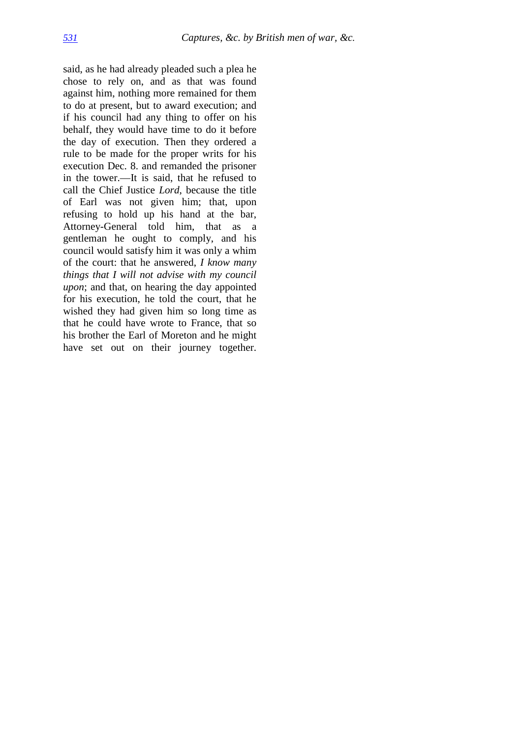said, as he had already pleaded such a plea he chose to rely on, and as that was found against him, nothing more remained for them to do at present, but to award execution; and if his council had any thing to offer on his behalf, they would have time to do it before the day of execution. Then they ordered a rule to be made for the proper writs for his execution Dec. 8. and remanded the prisoner in the tower.—It is said, that he refused to call the Chief Justice *Lord*, because the title of Earl was not given him; that, upon refusing to hold up his hand at the bar, Attorney-General told him, that as a gentleman he ought to comply, and his council would satisfy him it was only a whim of the court: that he answered, *I know many things that I will not advise with my council upon*; and that, on hearing the day appointed for his execution, he told the court, that he wished they had given him so long time as that he could have wrote to France, that so his brother the Earl of Moreton and he might have set out on their journey together.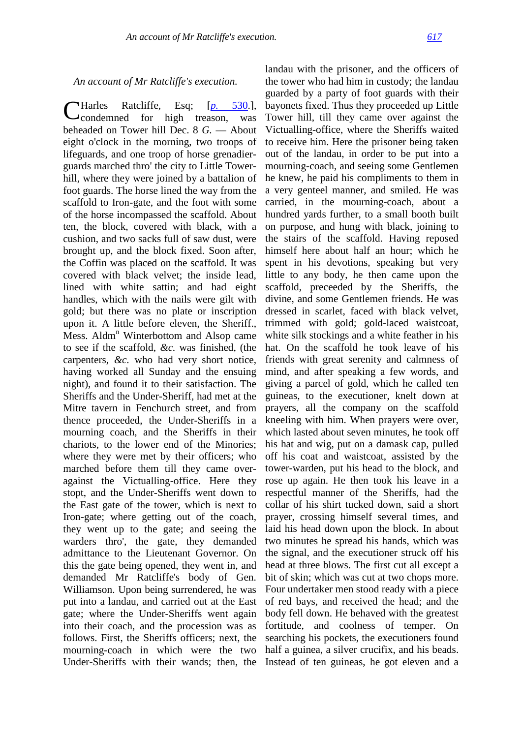*An account of Mr Ratcliffe's execution.*

Ratcliffe, Esq; [*p.* [530.](http://books.google.com/books?id=6y8oAAAAYAAJ&dq=Carolus%20Ratcliffe&pg=PA530#v=onepage&q=Carolus%20Ratcliffe&f=false)], condemned for high treason, was beheaded on Tower hill Dec. 8 *G.* — About eight o'clock in the morning, two troops of lifeguards, and one troop of horse grenadierguards marched thro' the city to Little Towerhill, where they were joined by a battalion of foot guards. The horse lined the way from the scaffold to Iron-gate, and the foot with some of the horse incompassed the scaffold. About ten, the block, covered with black, with a cushion, and two sacks full of saw dust, were brought up, and the block fixed. Soon after, the Coffin was placed on the scaffold. It was covered with black velvet; the inside lead, lined with white sattin; and had eight handles, which with the nails were gilt with gold; but there was no plate or inscription upon it. A little before eleven, the Sheriff., Mess. Aldm<sup>n</sup> Winterbottom and Alsop came to see if the scaffold, *&c.* was finished, (the carpenters, *&c.* who had very short notice, having worked all Sunday and the ensuing night), and found it to their satisfaction. The Sheriffs and the Under-Sheriff, had met at the Mitre tavern in Fenchurch street, and from thence proceeded, the Under-Sheriffs in a mourning coach, and the Sheriffs in their chariots, to the lower end of the Minories; where they were met by their officers; who marched before them till they came overagainst the Victualling-office. Here they stopt, and the Under-Sheriffs went down to the East gate of the tower, which is next to Iron-gate; where getting out of the coach, they went up to the gate; and seeing the warders thro', the gate, they demanded admittance to the Lieutenant Governor. On this the gate being opened, they went in, and demanded Mr Ratcliffe's body of Gen. Williamson. Upon being surrendered, he was put into a landau, and carried out at the East gate; where the Under-Sheriffs went again into their coach, and the procession was as follows. First, the Sheriffs officers; next, the mourning-coach in which were the two Harles

Under-Sheriffs with their wands; then, the Instead of ten guineas, he got eleven and a landau with the prisoner, and the officers of the tower who had him in custody; the landau guarded by a party of foot guards with their bayonets fixed. Thus they proceeded up Little Tower hill, till they came over against the Victualling-office, where the Sheriffs waited to receive him. Here the prisoner being taken out of the landau, in order to be put into a mourning-coach, and seeing some Gentlemen he knew, he paid his compliments to them in a very genteel manner, and smiled. He was carried, in the mourning-coach, about a hundred yards further, to a small booth built on purpose, and hung with black, joining to the stairs of the scaffold. Having reposed himself here about half an hour; which he spent in his devotions, speaking but very little to any body, he then came upon the scaffold, preceeded by the Sheriffs, the divine, and some Gentlemen friends. He was dressed in scarlet, faced with black velvet, trimmed with gold; gold-laced waistcoat, white silk stockings and a white feather in his hat. On the scaffold he took leave of his friends with great serenity and calmness of mind, and after speaking a few words, and giving a parcel of gold, which he called ten guineas, to the executioner, knelt down at prayers, all the company on the scaffold kneeling with him. When prayers were over, which lasted about seven minutes, he took off his hat and wig, put on a damask cap, pulled off his coat and waistcoat, assisted by the tower-warden, put his head to the block, and rose up again. He then took his leave in a respectful manner of the Sheriffs, had the collar of his shirt tucked down, said a short prayer, crossing himself several times, and laid his head down upon the block. In about two minutes he spread his hands, which was the signal, and the executioner struck off his head at three blows. The first cut all except a bit of skin; which was cut at two chops more. Four undertaker men stood ready with a piece of red bays, and received the head; and the body fell down. He behaved with the greatest fortitude, and coolness of temper. On searching his pockets, the executioners found half a guinea, a silver crucifix, and his beads.